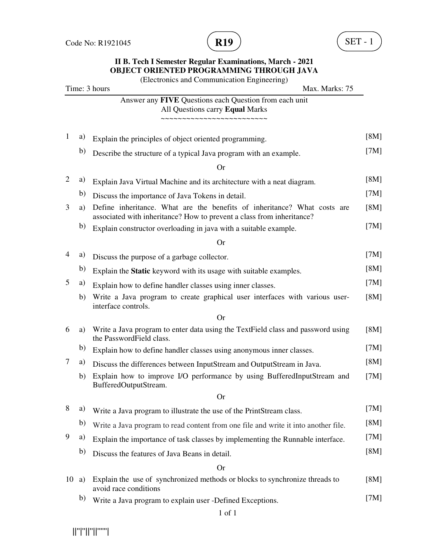

| (Electronics and Communication Engineering) |    |                                                                                                                                                   |      |  |  |
|---------------------------------------------|----|---------------------------------------------------------------------------------------------------------------------------------------------------|------|--|--|
| Time: 3 hours<br>Max. Marks: 75             |    |                                                                                                                                                   |      |  |  |
|                                             |    | Answer any FIVE Questions each Question from each unit<br>All Questions carry Equal Marks<br>~~~~~~~~~~~~~~~~~~~~~~~~~                            |      |  |  |
| $\mathbf{1}$                                | a) | Explain the principles of object oriented programming.                                                                                            | [8M] |  |  |
|                                             | b) | Describe the structure of a typical Java program with an example.                                                                                 | [7M] |  |  |
|                                             |    | <b>Or</b>                                                                                                                                         |      |  |  |
| $\overline{2}$                              | a) | Explain Java Virtual Machine and its architecture with a neat diagram.                                                                            | [8M] |  |  |
|                                             | b) | Discuss the importance of Java Tokens in detail.                                                                                                  | [7M] |  |  |
| 3                                           | a) | Define inheritance. What are the benefits of inheritance? What costs are<br>associated with inheritance? How to prevent a class from inheritance? | [8M] |  |  |
|                                             | b) | Explain constructor overloading in java with a suitable example.                                                                                  | [7M] |  |  |
|                                             |    | <b>Or</b>                                                                                                                                         |      |  |  |
| $\overline{4}$                              | a) | Discuss the purpose of a garbage collector.                                                                                                       | [7M] |  |  |
|                                             | b) | Explain the Static keyword with its usage with suitable examples.                                                                                 | [8M] |  |  |
| 5                                           | a) | Explain how to define handler classes using inner classes.                                                                                        | [7M] |  |  |
|                                             | b) | Write a Java program to create graphical user interfaces with various user-<br>interface controls.                                                | [8M] |  |  |
|                                             |    | <b>Or</b>                                                                                                                                         |      |  |  |
| 6                                           | a) | Write a Java program to enter data using the TextField class and password using<br>the PasswordField class.                                       | [8M] |  |  |
|                                             | b) | Explain how to define handler classes using anonymous inner classes.                                                                              | [7M] |  |  |
| 7                                           | a) | Discuss the differences between InputStream and OutputStream in Java.                                                                             | [8M] |  |  |
|                                             | b) | Explain how to improve I/O performance by using BufferedInputStream and<br>BufferedOutputStream.                                                  | [7M] |  |  |
|                                             |    | <b>Or</b>                                                                                                                                         |      |  |  |
| 8                                           | a) | Write a Java program to illustrate the use of the PrintStream class.                                                                              | [7M] |  |  |
|                                             | b) | Write a Java program to read content from one file and write it into another file.                                                                | [8M] |  |  |
| 9                                           | a) | Explain the importance of task classes by implementing the Runnable interface.                                                                    | [7M] |  |  |
|                                             | b) | Discuss the features of Java Beans in detail.                                                                                                     | [8M] |  |  |
|                                             |    | <b>Or</b>                                                                                                                                         |      |  |  |
| 10                                          | a) | Explain the use of synchronized methods or blocks to synchronize threads to<br>avoid race conditions                                              | [8M] |  |  |
|                                             | b) | Write a Java program to explain user -Defined Exceptions.                                                                                         | [7M] |  |  |
|                                             |    | 1 of 1                                                                                                                                            |      |  |  |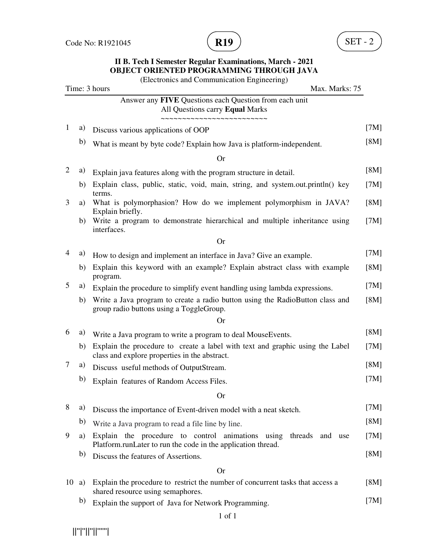

| (Electronics and Communication Engineering) |                                 |                                                                                                                                      |      |  |
|---------------------------------------------|---------------------------------|--------------------------------------------------------------------------------------------------------------------------------------|------|--|
|                                             | Time: 3 hours<br>Max. Marks: 75 |                                                                                                                                      |      |  |
|                                             |                                 | Answer any FIVE Questions each Question from each unit<br>All Questions carry Equal Marks<br>, ~~~~~~~~~~~~~~~~~                     |      |  |
| $\mathbf{1}$                                | a)                              | Discuss various applications of OOP                                                                                                  | [7M] |  |
|                                             | b)                              | What is meant by byte code? Explain how Java is platform-independent.                                                                | [8M] |  |
|                                             |                                 | <b>Or</b>                                                                                                                            |      |  |
| $\overline{2}$                              | a)                              | Explain java features along with the program structure in detail.                                                                    | [8M] |  |
|                                             | b)                              | Explain class, public, static, void, main, string, and system.out.println() key<br>terms.                                            | [7M] |  |
| 3                                           | a)                              | What is polymorphasion? How do we implement polymorphism in JAVA?<br>Explain briefly.                                                | [8M] |  |
|                                             | b)                              | Write a program to demonstrate hierarchical and multiple inheritance using<br>interfaces.                                            | [7M] |  |
|                                             |                                 | <b>Or</b>                                                                                                                            |      |  |
| $\overline{4}$                              | a)                              | How to design and implement an interface in Java? Give an example.                                                                   | [7M] |  |
|                                             | b)                              | Explain this keyword with an example? Explain abstract class with example<br>program.                                                | [8M] |  |
| 5                                           | a)                              | Explain the procedure to simplify event handling using lambda expressions.                                                           | [7M] |  |
|                                             | b)                              | Write a Java program to create a radio button using the RadioButton class and<br>group radio buttons using a ToggleGroup.            | [8M] |  |
|                                             |                                 | <b>Or</b>                                                                                                                            |      |  |
| 6                                           | a)                              | Write a Java program to write a program to deal MouseEvents.                                                                         | [8M] |  |
|                                             | b)                              | Explain the procedure to create a label with text and graphic using the Label<br>class and explore properties in the abstract.       | [7M] |  |
| 7                                           | a)                              | Discuss useful methods of OutputStream.                                                                                              | [8M] |  |
|                                             | b)                              | Explain features of Random Access Files.                                                                                             | [7M] |  |
|                                             |                                 | <b>Or</b>                                                                                                                            |      |  |
| 8                                           | a)                              | Discuss the importance of Event-driven model with a neat sketch.                                                                     | [7M] |  |
|                                             | b)                              | Write a Java program to read a file line by line.                                                                                    | [8M] |  |
| 9                                           | a)                              | Explain the procedure to control animations using threads and<br>use<br>Platform.runLater to run the code in the application thread. | [7M] |  |
|                                             | b)                              | Discuss the features of Assertions.                                                                                                  | [8M] |  |
|                                             |                                 | <b>Or</b>                                                                                                                            |      |  |
| 10                                          | a)                              | Explain the procedure to restrict the number of concurrent tasks that access a<br>shared resource using semaphores.                  | [8M] |  |
|                                             | b)                              | Explain the support of Java for Network Programming.                                                                                 | [7M] |  |
|                                             |                                 | $1$ of $1$                                                                                                                           |      |  |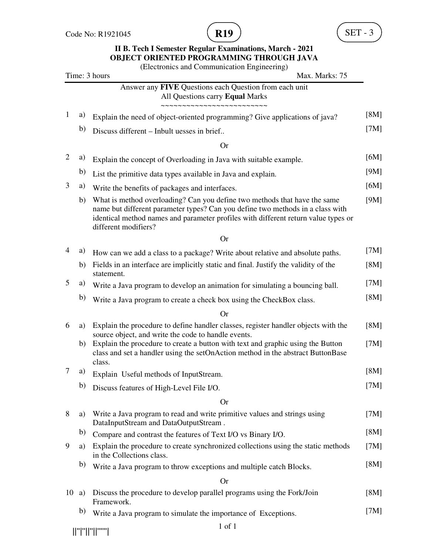

| (Electronics and Communication Engineering)<br>Time: 3 hours<br>Max. Marks: 75 |    |                                                                                                                                                                                                                                                                           |      |  |
|--------------------------------------------------------------------------------|----|---------------------------------------------------------------------------------------------------------------------------------------------------------------------------------------------------------------------------------------------------------------------------|------|--|
|                                                                                |    | Answer any FIVE Questions each Question from each unit<br>All Questions carry Equal Marks<br>~~~~~~~~~~~~~~~~~~~~~~                                                                                                                                                       |      |  |
| $\mathbf{1}$                                                                   | a) | Explain the need of object-oriented programming? Give applications of java?                                                                                                                                                                                               | [8M] |  |
|                                                                                | b) | Discuss different – Inbult uesses in brief                                                                                                                                                                                                                                | [7M] |  |
|                                                                                |    | <b>Or</b>                                                                                                                                                                                                                                                                 |      |  |
| $\overline{2}$                                                                 | a) | Explain the concept of Overloading in Java with suitable example.                                                                                                                                                                                                         | [6M] |  |
|                                                                                | b) | List the primitive data types available in Java and explain.                                                                                                                                                                                                              | [9M] |  |
| 3                                                                              | a) | Write the benefits of packages and interfaces.                                                                                                                                                                                                                            | [6M] |  |
|                                                                                | b) | What is method overloading? Can you define two methods that have the same<br>name but different parameter types? Can you define two methods in a class with<br>identical method names and parameter profiles with different return value types or<br>different modifiers? | [9M] |  |
|                                                                                |    | <b>Or</b>                                                                                                                                                                                                                                                                 |      |  |
| 4                                                                              | a) | How can we add a class to a package? Write about relative and absolute paths.                                                                                                                                                                                             | [7M] |  |
|                                                                                | b) | Fields in an interface are implicitly static and final. Justify the validity of the<br>statement.                                                                                                                                                                         | [8M] |  |
| 5                                                                              | a) | Write a Java program to develop an animation for simulating a bouncing ball.                                                                                                                                                                                              | [7M] |  |
|                                                                                | b) | Write a Java program to create a check box using the CheckBox class.                                                                                                                                                                                                      | [8M] |  |
|                                                                                |    | <b>Or</b>                                                                                                                                                                                                                                                                 |      |  |
| 6                                                                              | a) | Explain the procedure to define handler classes, register handler objects with the<br>source object, and write the code to handle events.                                                                                                                                 | [8M] |  |
|                                                                                | b) | Explain the procedure to create a button with text and graphic using the Button<br>class and set a handler using the setOnAction method in the abstract ButtonBase<br>class.                                                                                              | [7M] |  |
| 7                                                                              | a) | Explain Useful methods of InputStream.                                                                                                                                                                                                                                    | [8M] |  |
|                                                                                | b) | Discuss features of High-Level File I/O.                                                                                                                                                                                                                                  | [7M] |  |
|                                                                                |    | <b>Or</b>                                                                                                                                                                                                                                                                 |      |  |
| 8                                                                              | a) | Write a Java program to read and write primitive values and strings using<br>DataInputStream and DataOutputStream.                                                                                                                                                        | [7M] |  |
|                                                                                | b) | Compare and contrast the features of Text I/O vs Binary I/O.                                                                                                                                                                                                              | [8M] |  |
| 9                                                                              | a) | Explain the procedure to create synchronized collections using the static methods<br>in the Collections class.                                                                                                                                                            | [7M] |  |
|                                                                                | b) | Write a Java program to throw exceptions and multiple catch Blocks.                                                                                                                                                                                                       | [8M] |  |
|                                                                                |    | <b>Or</b>                                                                                                                                                                                                                                                                 |      |  |
| 10                                                                             | a) | Discuss the procedure to develop parallel programs using the Fork/Join<br>Framework.                                                                                                                                                                                      | [8M] |  |
|                                                                                | b) | Write a Java program to simulate the importance of Exceptions.                                                                                                                                                                                                            | [7M] |  |
|                                                                                |    | 1 of 1                                                                                                                                                                                                                                                                    |      |  |